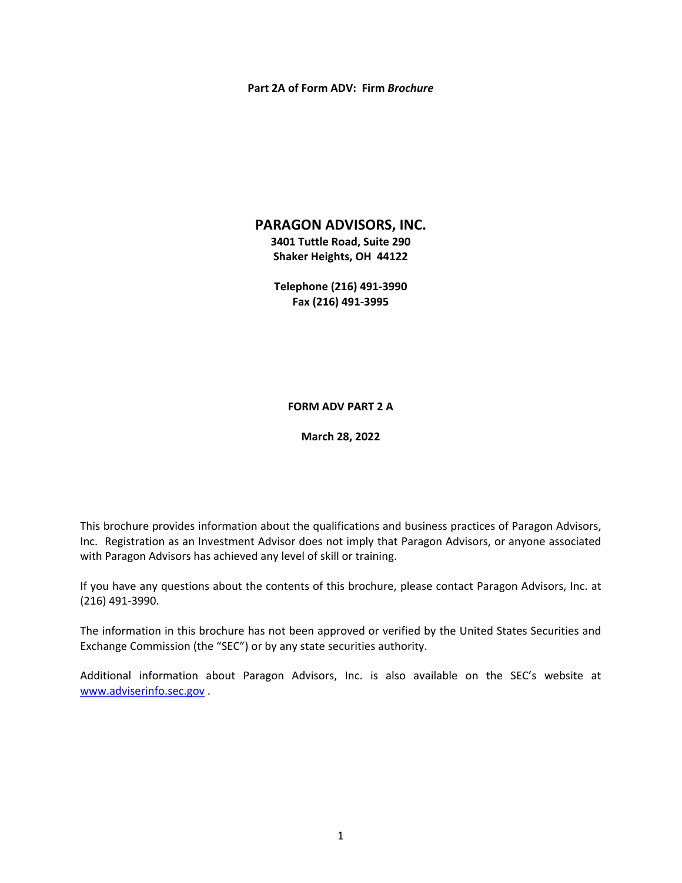#### **Part 2A of Form ADV: Firm** *Brochure*

## **PARAGON ADVISORS, INC.**

**3401 Tuttle Road, Suite 290 Shaker Heights, OH 44122** 

**Telephone (216) 491‐3990 Fax (216) 491‐3995** 

**FORM ADV PART 2 A** 

**March 28, 2022** 

This brochure provides information about the qualifications and business practices of Paragon Advisors, Inc. Registration as an Investment Advisor does not imply that Paragon Advisors, or anyone associated with Paragon Advisors has achieved any level of skill or training.

If you have any questions about the contents of this brochure, please contact Paragon Advisors, Inc. at (216) 491‐3990.

The information in this brochure has not been approved or verified by the United States Securities and Exchange Commission (the "SEC") or by any state securities authority.

Additional information about Paragon Advisors, Inc. is also available on the SEC's website at www.adviserinfo.sec.gov .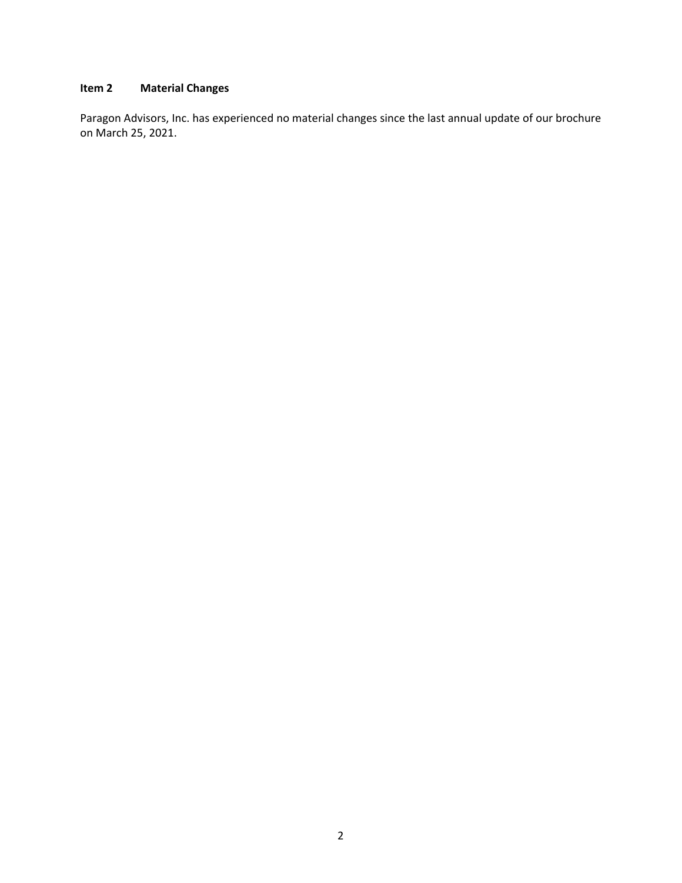# **Item 2 Material Changes**

Paragon Advisors, Inc. has experienced no material changes since the last annual update of our brochure on March 25, 2021.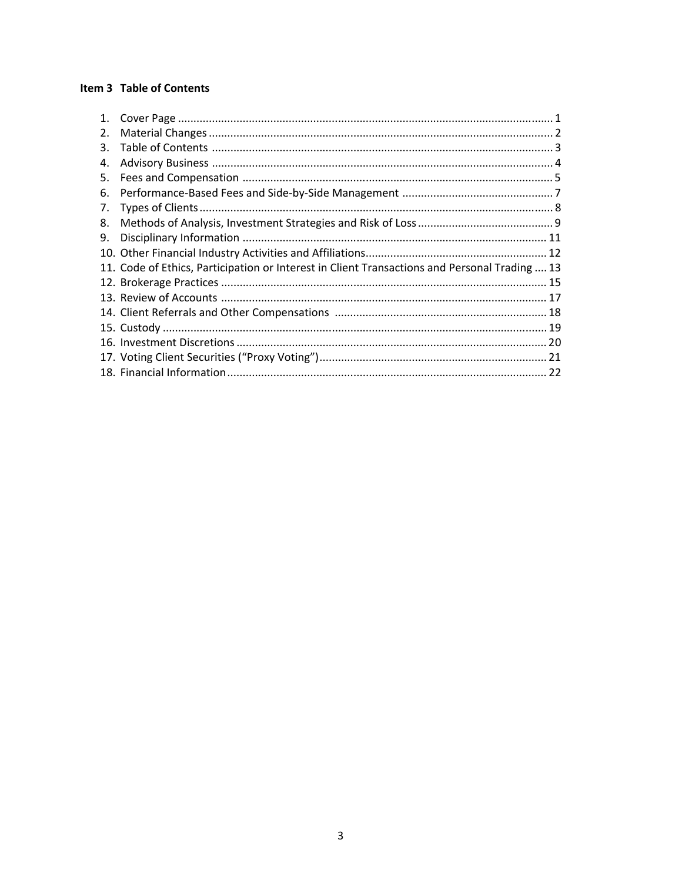## Item 3 Table of Contents

| 1. |                                                                                               |  |
|----|-----------------------------------------------------------------------------------------------|--|
| 2. |                                                                                               |  |
| 3. |                                                                                               |  |
| 4. |                                                                                               |  |
| 5. |                                                                                               |  |
| 6. |                                                                                               |  |
| 7. |                                                                                               |  |
| 8. |                                                                                               |  |
| 9. |                                                                                               |  |
|    |                                                                                               |  |
|    | 11. Code of Ethics, Participation or Interest in Client Transactions and Personal Trading  13 |  |
|    |                                                                                               |  |
|    |                                                                                               |  |
|    |                                                                                               |  |
|    |                                                                                               |  |
|    |                                                                                               |  |
|    |                                                                                               |  |
|    |                                                                                               |  |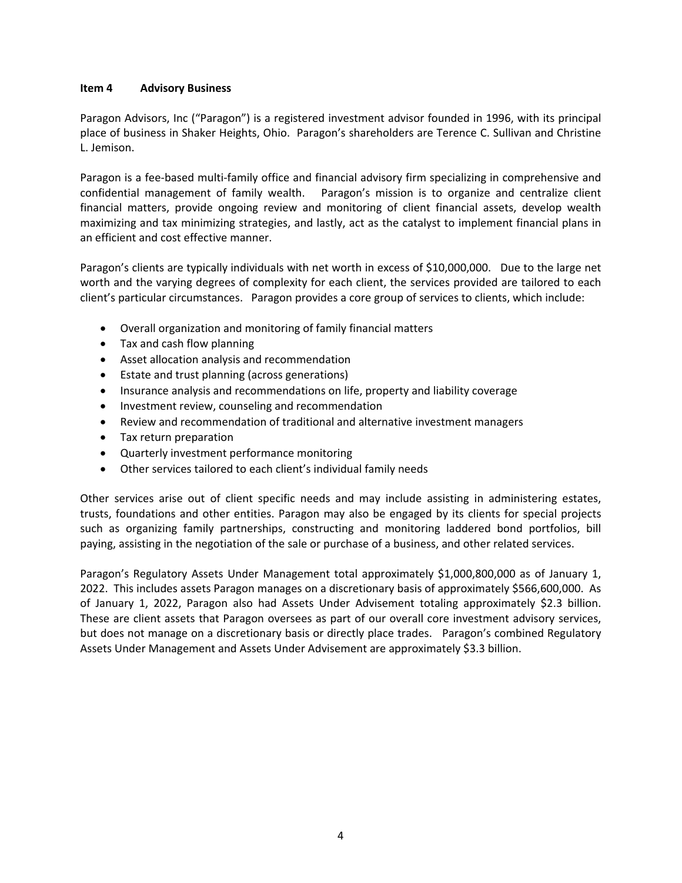### **Item 4 Advisory Business**

Paragon Advisors, Inc ("Paragon") is a registered investment advisor founded in 1996, with its principal place of business in Shaker Heights, Ohio. Paragon's shareholders are Terence C. Sullivan and Christine L. Jemison.

Paragon is a fee-based multi-family office and financial advisory firm specializing in comprehensive and confidential management of family wealth. Paragon's mission is to organize and centralize client financial matters, provide ongoing review and monitoring of client financial assets, develop wealth maximizing and tax minimizing strategies, and lastly, act as the catalyst to implement financial plans in an efficient and cost effective manner.

Paragon's clients are typically individuals with net worth in excess of \$10,000,000. Due to the large net worth and the varying degrees of complexity for each client, the services provided are tailored to each client's particular circumstances. Paragon provides a core group of services to clients, which include:

- Overall organization and monitoring of family financial matters
- Tax and cash flow planning
- Asset allocation analysis and recommendation
- Estate and trust planning (across generations)
- Insurance analysis and recommendations on life, property and liability coverage
- Investment review, counseling and recommendation
- Review and recommendation of traditional and alternative investment managers
- Tax return preparation
- Quarterly investment performance monitoring
- Other services tailored to each client's individual family needs

Other services arise out of client specific needs and may include assisting in administering estates, trusts, foundations and other entities. Paragon may also be engaged by its clients for special projects such as organizing family partnerships, constructing and monitoring laddered bond portfolios, bill paying, assisting in the negotiation of the sale or purchase of a business, and other related services.

Paragon's Regulatory Assets Under Management total approximately \$1,000,800,000 as of January 1, 2022. This includes assets Paragon manages on a discretionary basis of approximately \$566,600,000. As of January 1, 2022, Paragon also had Assets Under Advisement totaling approximately \$2.3 billion. These are client assets that Paragon oversees as part of our overall core investment advisory services, but does not manage on a discretionary basis or directly place trades. Paragon's combined Regulatory Assets Under Management and Assets Under Advisement are approximately \$3.3 billion.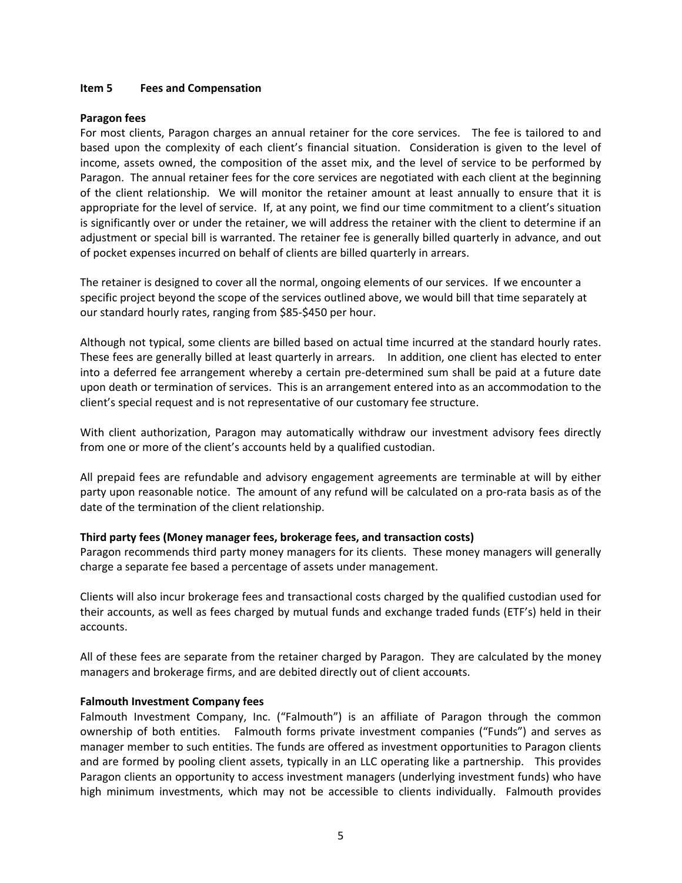#### **Item 5 Fees and Compensation**

#### **Paragon fees**

For most clients, Paragon charges an annual retainer for the core services. The fee is tailored to and based upon the complexity of each client's financial situation. Consideration is given to the level of income, assets owned, the composition of the asset mix, and the level of service to be performed by Paragon. The annual retainer fees for the core services are negotiated with each client at the beginning of the client relationship. We will monitor the retainer amount at least annually to ensure that it is appropriate for the level of service. If, at any point, we find our time commitment to a client's situation is significantly over or under the retainer, we will address the retainer with the client to determine if an adjustment or special bill is warranted. The retainer fee is generally billed quarterly in advance, and out of pocket expenses incurred on behalf of clients are billed quarterly in arrears.

The retainer is designed to cover all the normal, ongoing elements of our services. If we encounter a specific project beyond the scope of the services outlined above, we would bill that time separately at our standard hourly rates, ranging from \$85‐\$450 per hour.

Although not typical, some clients are billed based on actual time incurred at the standard hourly rates. These fees are generally billed at least quarterly in arrears. In addition, one client has elected to enter into a deferred fee arrangement whereby a certain pre‐determined sum shall be paid at a future date upon death or termination of services. This is an arrangement entered into as an accommodation to the client's special request and is not representative of our customary fee structure.

With client authorization, Paragon may automatically withdraw our investment advisory fees directly from one or more of the client's accounts held by a qualified custodian.

All prepaid fees are refundable and advisory engagement agreements are terminable at will by either party upon reasonable notice. The amount of any refund will be calculated on a pro-rata basis as of the date of the termination of the client relationship.

## **Third party fees (Money manager fees, brokerage fees, and transaction costs)**

Paragon recommends third party money managers for its clients. These money managers will generally charge a separate fee based a percentage of assets under management.

Clients will also incur brokerage fees and transactional costs charged by the qualified custodian used for their accounts, as well as fees charged by mutual funds and exchange traded funds (ETF's) held in their accounts.

All of these fees are separate from the retainer charged by Paragon. They are calculated by the money managers and brokerage firms, and are debited directly out of client accounts.

#### **Falmouth Investment Company fees**

Falmouth Investment Company, Inc. ("Falmouth") is an affiliate of Paragon through the common ownership of both entities. Falmouth forms private investment companies ("Funds") and serves as manager member to such entities. The funds are offered as investment opportunities to Paragon clients and are formed by pooling client assets, typically in an LLC operating like a partnership. This provides Paragon clients an opportunity to access investment managers (underlying investment funds) who have high minimum investments, which may not be accessible to clients individually. Falmouth provides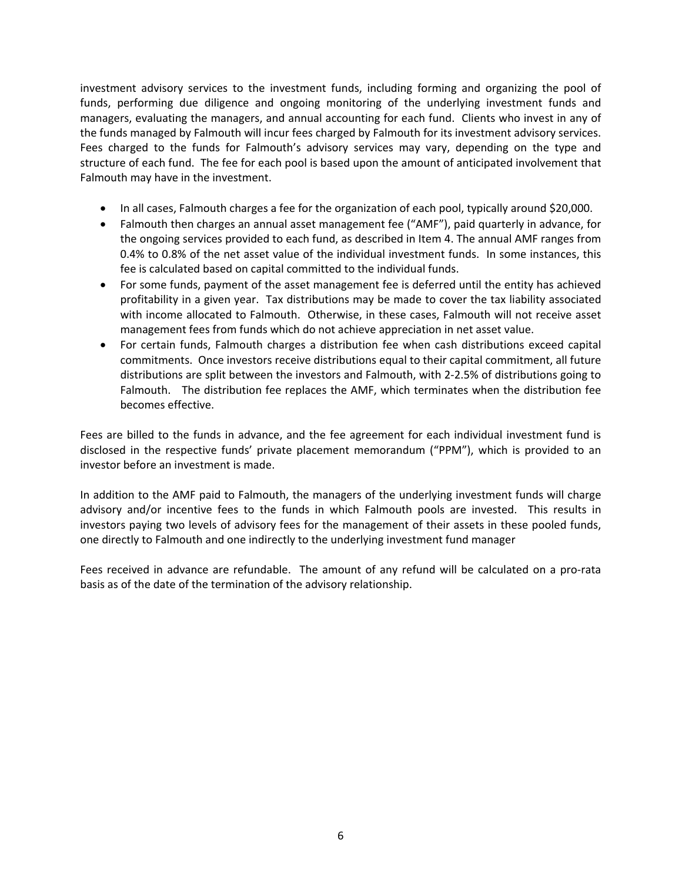investment advisory services to the investment funds, including forming and organizing the pool of funds, performing due diligence and ongoing monitoring of the underlying investment funds and managers, evaluating the managers, and annual accounting for each fund. Clients who invest in any of the funds managed by Falmouth will incur fees charged by Falmouth for its investment advisory services. Fees charged to the funds for Falmouth's advisory services may vary, depending on the type and structure of each fund. The fee for each pool is based upon the amount of anticipated involvement that Falmouth may have in the investment.

- In all cases, Falmouth charges a fee for the organization of each pool, typically around \$20,000.
- Falmouth then charges an annual asset management fee ("AMF"), paid quarterly in advance, for the ongoing services provided to each fund, as described in Item 4. The annual AMF ranges from 0.4% to 0.8% of the net asset value of the individual investment funds. In some instances, this fee is calculated based on capital committed to the individual funds.
- For some funds, payment of the asset management fee is deferred until the entity has achieved profitability in a given year. Tax distributions may be made to cover the tax liability associated with income allocated to Falmouth. Otherwise, in these cases, Falmouth will not receive asset management fees from funds which do not achieve appreciation in net asset value.
- For certain funds, Falmouth charges a distribution fee when cash distributions exceed capital commitments. Once investors receive distributions equal to their capital commitment, all future distributions are split between the investors and Falmouth, with 2‐2.5% of distributions going to Falmouth. The distribution fee replaces the AMF, which terminates when the distribution fee becomes effective.

Fees are billed to the funds in advance, and the fee agreement for each individual investment fund is disclosed in the respective funds' private placement memorandum ("PPM"), which is provided to an investor before an investment is made.

In addition to the AMF paid to Falmouth, the managers of the underlying investment funds will charge advisory and/or incentive fees to the funds in which Falmouth pools are invested. This results in investors paying two levels of advisory fees for the management of their assets in these pooled funds, one directly to Falmouth and one indirectly to the underlying investment fund manager

Fees received in advance are refundable. The amount of any refund will be calculated on a pro-rata basis as of the date of the termination of the advisory relationship.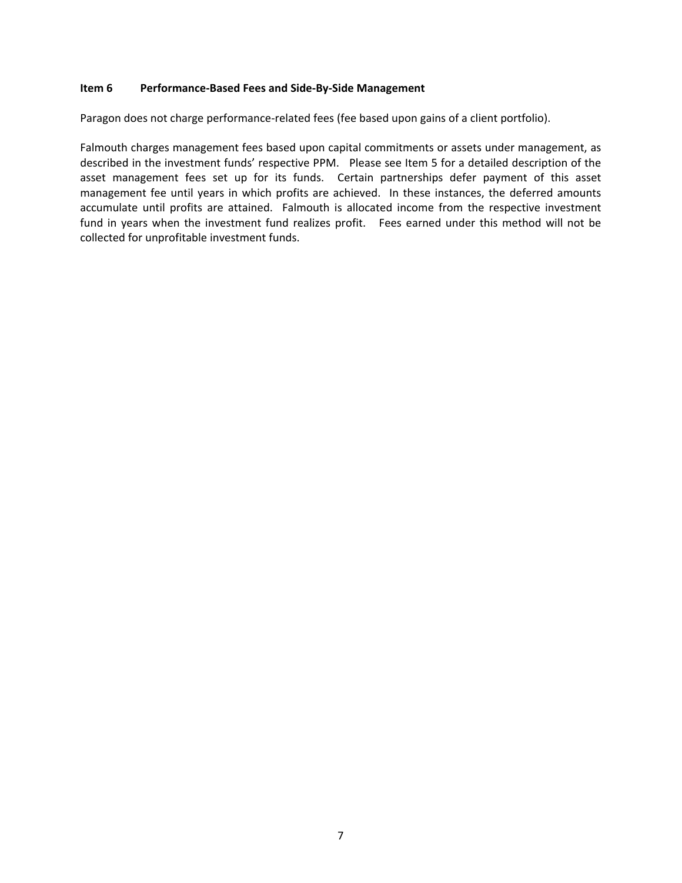#### **Item 6 Performance‐Based Fees and Side‐By‐Side Management**

Paragon does not charge performance-related fees (fee based upon gains of a client portfolio).

Falmouth charges management fees based upon capital commitments or assets under management, as described in the investment funds' respective PPM. Please see Item 5 for a detailed description of the asset management fees set up for its funds. Certain partnerships defer payment of this asset management fee until years in which profits are achieved. In these instances, the deferred amounts accumulate until profits are attained. Falmouth is allocated income from the respective investment fund in years when the investment fund realizes profit. Fees earned under this method will not be collected for unprofitable investment funds.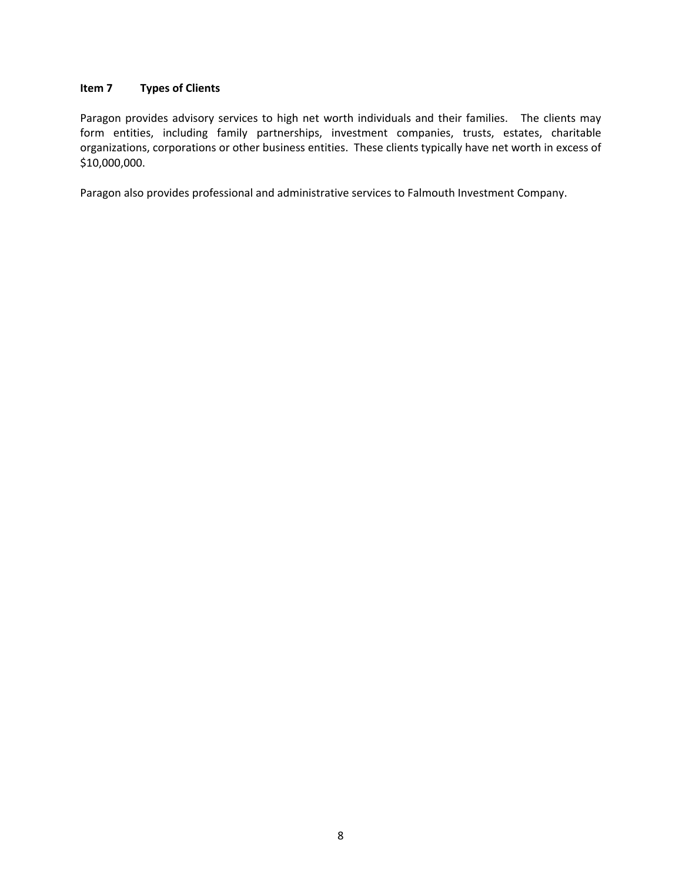## **Item 7 Types of Clients**

Paragon provides advisory services to high net worth individuals and their families. The clients may form entities, including family partnerships, investment companies, trusts, estates, charitable organizations, corporations or other business entities. These clients typically have net worth in excess of \$10,000,000.

Paragon also provides professional and administrative services to Falmouth Investment Company.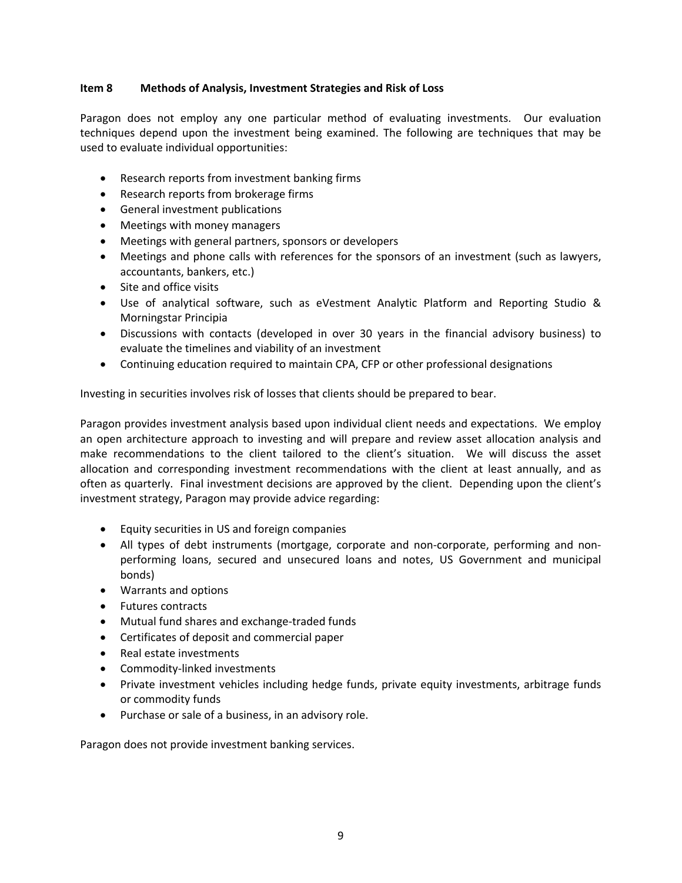## **Item 8 Methods of Analysis, Investment Strategies and Risk of Loss**

Paragon does not employ any one particular method of evaluating investments. Our evaluation techniques depend upon the investment being examined. The following are techniques that may be used to evaluate individual opportunities:

- Research reports from investment banking firms
- Research reports from brokerage firms
- General investment publications
- Meetings with money managers
- Meetings with general partners, sponsors or developers
- Meetings and phone calls with references for the sponsors of an investment (such as lawyers, accountants, bankers, etc.)
- Site and office visits
- Use of analytical software, such as eVestment Analytic Platform and Reporting Studio & Morningstar Principia
- Discussions with contacts (developed in over 30 years in the financial advisory business) to evaluate the timelines and viability of an investment
- Continuing education required to maintain CPA, CFP or other professional designations

Investing in securities involves risk of losses that clients should be prepared to bear.

Paragon provides investment analysis based upon individual client needs and expectations. We employ an open architecture approach to investing and will prepare and review asset allocation analysis and make recommendations to the client tailored to the client's situation. We will discuss the asset allocation and corresponding investment recommendations with the client at least annually, and as often as quarterly. Final investment decisions are approved by the client. Depending upon the client's investment strategy, Paragon may provide advice regarding:

- Equity securities in US and foreign companies
- All types of debt instruments (mortgage, corporate and non-corporate, performing and nonperforming loans, secured and unsecured loans and notes, US Government and municipal bonds)
- Warrants and options
- Futures contracts
- Mutual fund shares and exchange-traded funds
- Certificates of deposit and commercial paper
- Real estate investments
- Commodity-linked investments
- Private investment vehicles including hedge funds, private equity investments, arbitrage funds or commodity funds
- Purchase or sale of a business, in an advisory role.

Paragon does not provide investment banking services.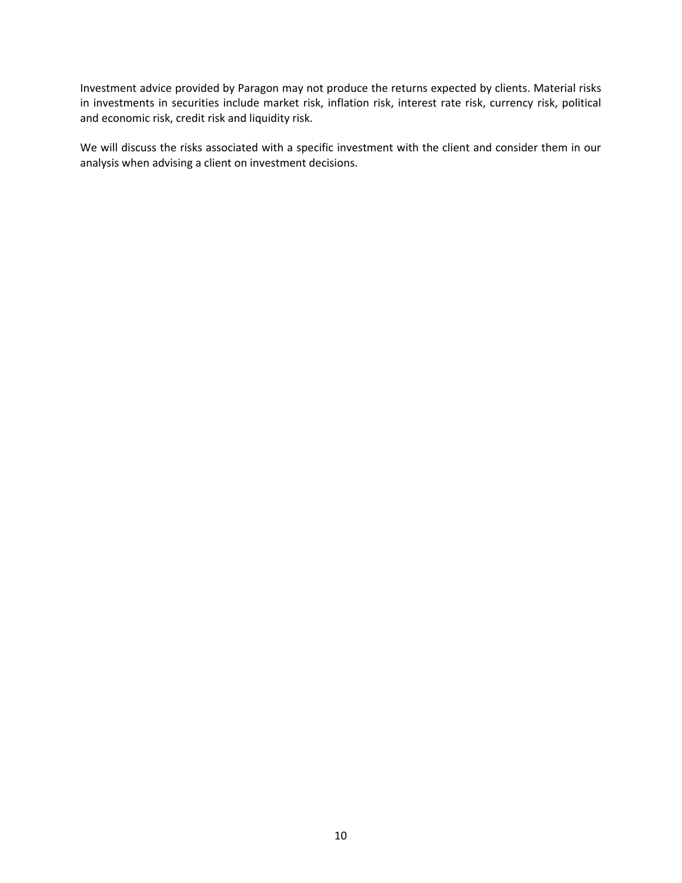Investment advice provided by Paragon may not produce the returns expected by clients. Material risks in investments in securities include market risk, inflation risk, interest rate risk, currency risk, political and economic risk, credit risk and liquidity risk.

We will discuss the risks associated with a specific investment with the client and consider them in our analysis when advising a client on investment decisions.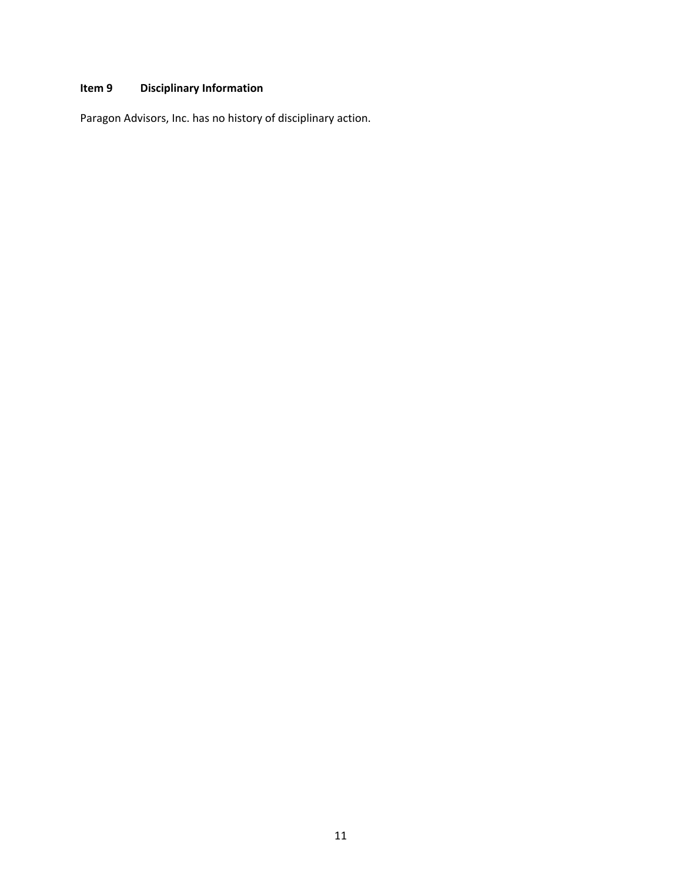# **Item 9 Disciplinary Information**

Paragon Advisors, Inc. has no history of disciplinary action.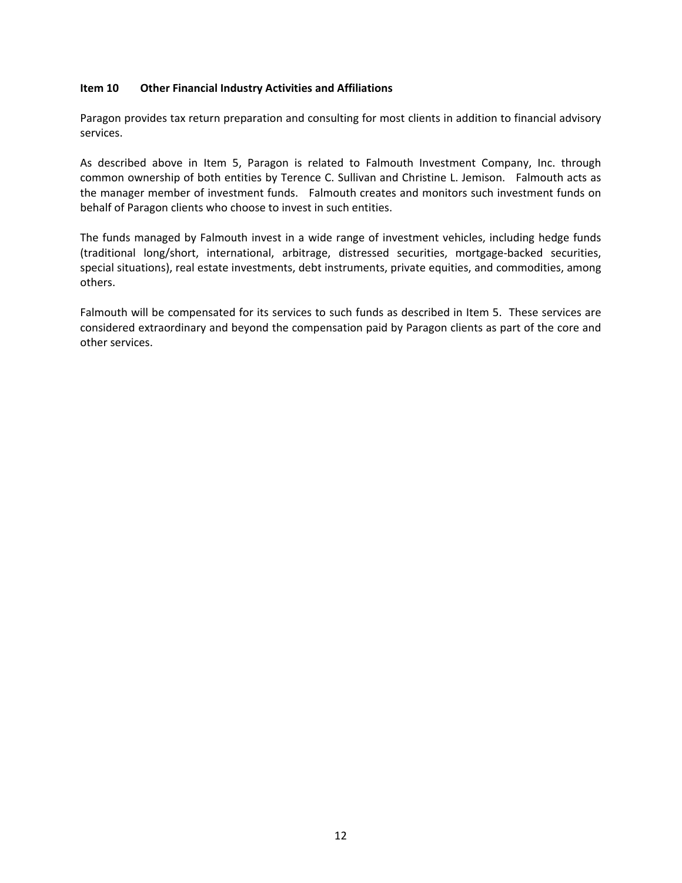### **Item 10 Other Financial Industry Activities and Affiliations**

Paragon provides tax return preparation and consulting for most clients in addition to financial advisory services.

As described above in Item 5, Paragon is related to Falmouth Investment Company, Inc. through common ownership of both entities by Terence C. Sullivan and Christine L. Jemison. Falmouth acts as the manager member of investment funds. Falmouth creates and monitors such investment funds on behalf of Paragon clients who choose to invest in such entities.

The funds managed by Falmouth invest in a wide range of investment vehicles, including hedge funds (traditional long/short, international, arbitrage, distressed securities, mortgage‐backed securities, special situations), real estate investments, debt instruments, private equities, and commodities, among others.

Falmouth will be compensated for its services to such funds as described in Item 5. These services are considered extraordinary and beyond the compensation paid by Paragon clients as part of the core and other services.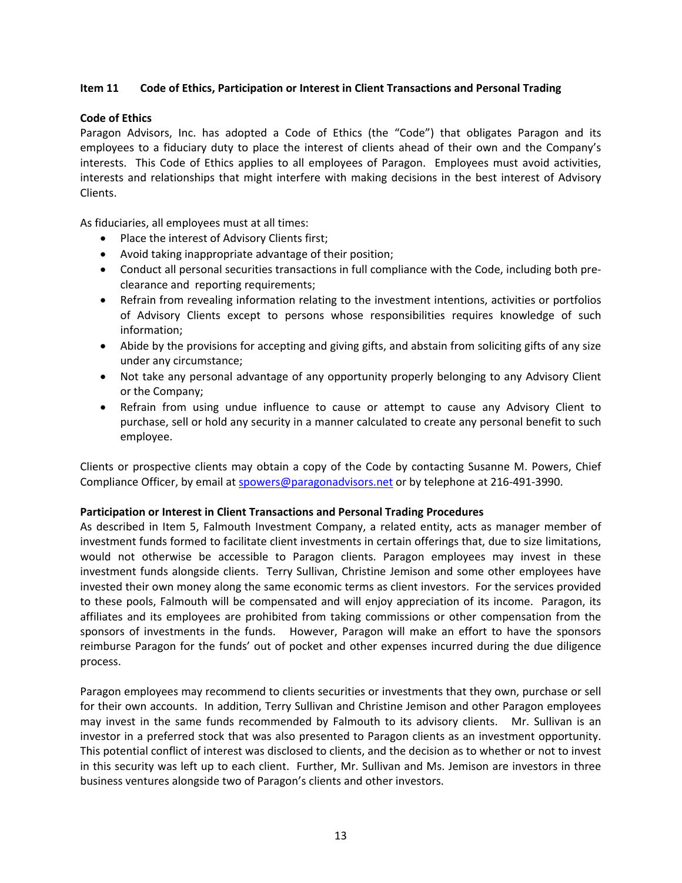## **Item 11 Code of Ethics, Participation or Interest in Client Transactions and Personal Trading**

## **Code of Ethics**

Paragon Advisors, Inc. has adopted a Code of Ethics (the "Code") that obligates Paragon and its employees to a fiduciary duty to place the interest of clients ahead of their own and the Company's interests. This Code of Ethics applies to all employees of Paragon. Employees must avoid activities, interests and relationships that might interfere with making decisions in the best interest of Advisory Clients.

As fiduciaries, all employees must at all times:

- Place the interest of Advisory Clients first;
- Avoid taking inappropriate advantage of their position;
- Conduct all personal securities transactions in full compliance with the Code, including both preclearance and reporting requirements;
- Refrain from revealing information relating to the investment intentions, activities or portfolios of Advisory Clients except to persons whose responsibilities requires knowledge of such information;
- Abide by the provisions for accepting and giving gifts, and abstain from soliciting gifts of any size under any circumstance;
- Not take any personal advantage of any opportunity properly belonging to any Advisory Client or the Company;
- Refrain from using undue influence to cause or attempt to cause any Advisory Client to purchase, sell or hold any security in a manner calculated to create any personal benefit to such employee.

Clients or prospective clients may obtain a copy of the Code by contacting Susanne M. Powers, Chief Compliance Officer, by email at spowers@paragonadvisors.net or by telephone at 216‐491‐3990.

## **Participation or Interest in Client Transactions and Personal Trading Procedures**

As described in Item 5, Falmouth Investment Company, a related entity, acts as manager member of investment funds formed to facilitate client investments in certain offerings that, due to size limitations, would not otherwise be accessible to Paragon clients. Paragon employees may invest in these investment funds alongside clients. Terry Sullivan, Christine Jemison and some other employees have invested their own money along the same economic terms as client investors. For the services provided to these pools, Falmouth will be compensated and will enjoy appreciation of its income. Paragon, its affiliates and its employees are prohibited from taking commissions or other compensation from the sponsors of investments in the funds. However, Paragon will make an effort to have the sponsors reimburse Paragon for the funds' out of pocket and other expenses incurred during the due diligence process.

Paragon employees may recommend to clients securities or investments that they own, purchase or sell for their own accounts. In addition, Terry Sullivan and Christine Jemison and other Paragon employees may invest in the same funds recommended by Falmouth to its advisory clients. Mr. Sullivan is an investor in a preferred stock that was also presented to Paragon clients as an investment opportunity. This potential conflict of interest was disclosed to clients, and the decision as to whether or not to invest in this security was left up to each client. Further, Mr. Sullivan and Ms. Jemison are investors in three business ventures alongside two of Paragon's clients and other investors.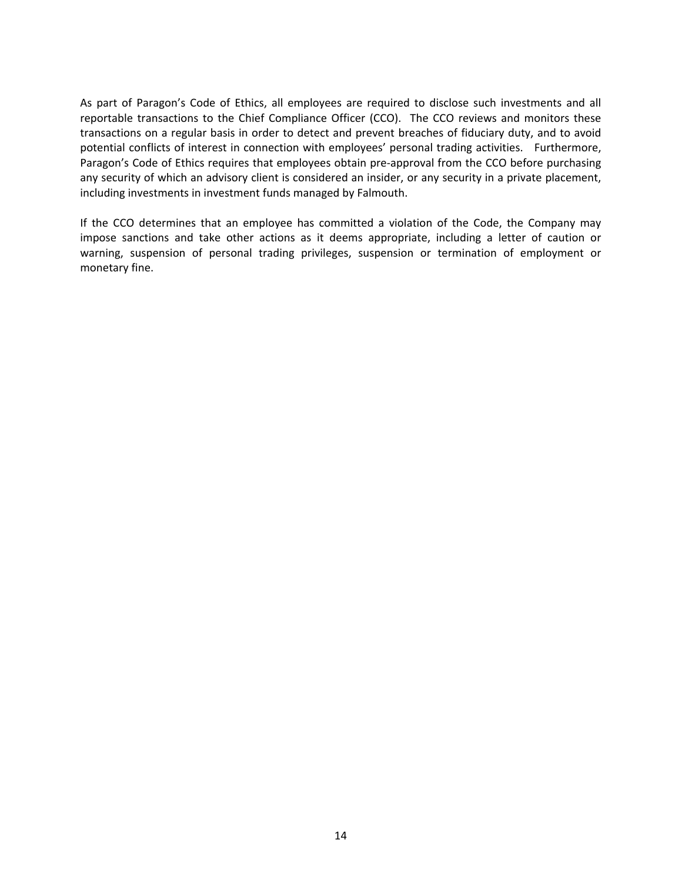As part of Paragon's Code of Ethics, all employees are required to disclose such investments and all reportable transactions to the Chief Compliance Officer (CCO). The CCO reviews and monitors these transactions on a regular basis in order to detect and prevent breaches of fiduciary duty, and to avoid potential conflicts of interest in connection with employees' personal trading activities. Furthermore, Paragon's Code of Ethics requires that employees obtain pre‐approval from the CCO before purchasing any security of which an advisory client is considered an insider, or any security in a private placement, including investments in investment funds managed by Falmouth.

If the CCO determines that an employee has committed a violation of the Code, the Company may impose sanctions and take other actions as it deems appropriate, including a letter of caution or warning, suspension of personal trading privileges, suspension or termination of employment or monetary fine.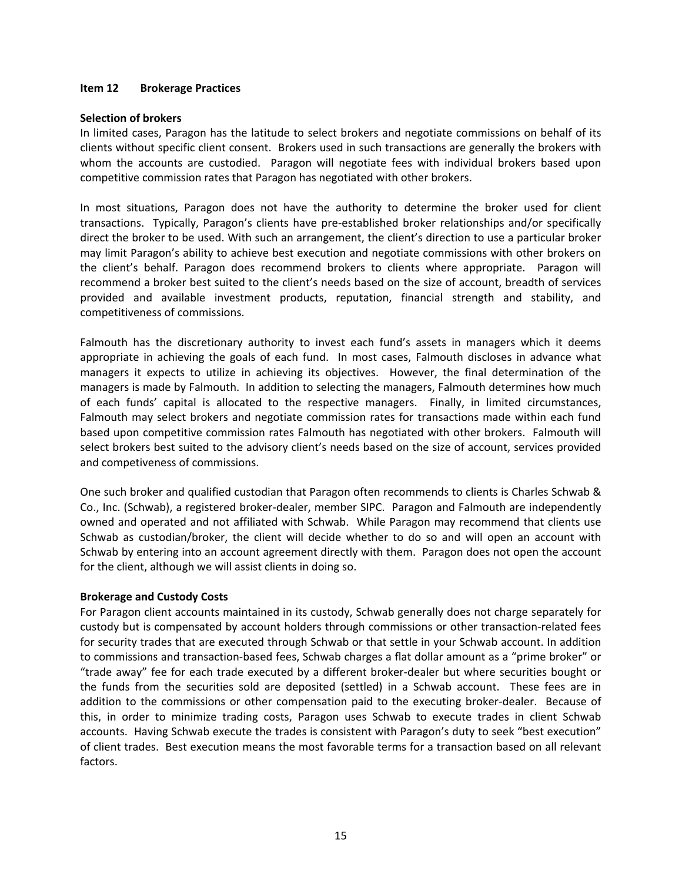#### **Item 12 Brokerage Practices**

#### **Selection of brokers**

In limited cases, Paragon has the latitude to select brokers and negotiate commissions on behalf of its clients without specific client consent. Brokers used in such transactions are generally the brokers with whom the accounts are custodied. Paragon will negotiate fees with individual brokers based upon competitive commission rates that Paragon has negotiated with other brokers.

In most situations, Paragon does not have the authority to determine the broker used for client transactions. Typically, Paragon's clients have pre-established broker relationships and/or specifically direct the broker to be used. With such an arrangement, the client's direction to use a particular broker may limit Paragon's ability to achieve best execution and negotiate commissions with other brokers on the client's behalf. Paragon does recommend brokers to clients where appropriate. Paragon will recommend a broker best suited to the client's needs based on the size of account, breadth of services provided and available investment products, reputation, financial strength and stability, and competitiveness of commissions.

Falmouth has the discretionary authority to invest each fund's assets in managers which it deems appropriate in achieving the goals of each fund. In most cases, Falmouth discloses in advance what managers it expects to utilize in achieving its objectives. However, the final determination of the managers is made by Falmouth. In addition to selecting the managers, Falmouth determines how much of each funds' capital is allocated to the respective managers. Finally, in limited circumstances, Falmouth may select brokers and negotiate commission rates for transactions made within each fund based upon competitive commission rates Falmouth has negotiated with other brokers. Falmouth will select brokers best suited to the advisory client's needs based on the size of account, services provided and competiveness of commissions.

One such broker and qualified custodian that Paragon often recommends to clients is Charles Schwab & Co., Inc. (Schwab), a registered broker‐dealer, member SIPC. Paragon and Falmouth are independently owned and operated and not affiliated with Schwab. While Paragon may recommend that clients use Schwab as custodian/broker, the client will decide whether to do so and will open an account with Schwab by entering into an account agreement directly with them. Paragon does not open the account for the client, although we will assist clients in doing so.

#### **Brokerage and Custody Costs**

For Paragon client accounts maintained in its custody, Schwab generally does not charge separately for custody but is compensated by account holders through commissions or other transaction‐related fees for security trades that are executed through Schwab or that settle in your Schwab account. In addition to commissions and transaction‐based fees, Schwab charges a flat dollar amount as a "prime broker" or "trade away" fee for each trade executed by a different broker‐dealer but where securities bought or the funds from the securities sold are deposited (settled) in a Schwab account. These fees are in addition to the commissions or other compensation paid to the executing broker-dealer. Because of this, in order to minimize trading costs, Paragon uses Schwab to execute trades in client Schwab accounts. Having Schwab execute the trades is consistent with Paragon's duty to seek "best execution" of client trades. Best execution means the most favorable terms for a transaction based on all relevant factors.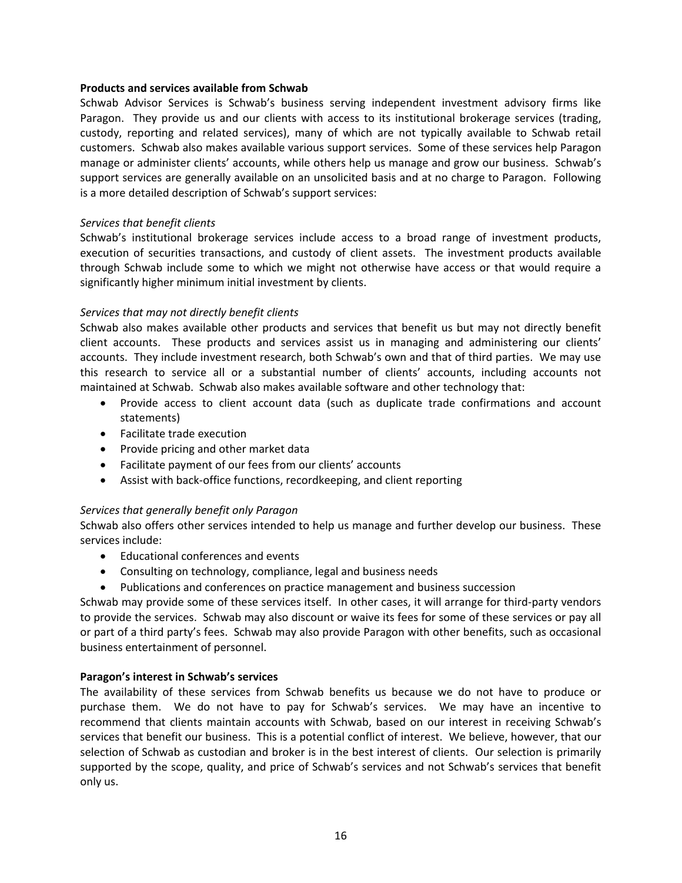#### **Products and services available from Schwab**

Schwab Advisor Services is Schwab's business serving independent investment advisory firms like Paragon. They provide us and our clients with access to its institutional brokerage services (trading, custody, reporting and related services), many of which are not typically available to Schwab retail customers. Schwab also makes available various support services. Some of these services help Paragon manage or administer clients' accounts, while others help us manage and grow our business. Schwab's support services are generally available on an unsolicited basis and at no charge to Paragon. Following is a more detailed description of Schwab's support services:

#### *Services that benefit clients*

Schwab's institutional brokerage services include access to a broad range of investment products, execution of securities transactions, and custody of client assets. The investment products available through Schwab include some to which we might not otherwise have access or that would require a significantly higher minimum initial investment by clients.

## *Services that may not directly benefit clients*

Schwab also makes available other products and services that benefit us but may not directly benefit client accounts. These products and services assist us in managing and administering our clients' accounts. They include investment research, both Schwab's own and that of third parties. We may use this research to service all or a substantial number of clients' accounts, including accounts not maintained at Schwab. Schwab also makes available software and other technology that:

- Provide access to client account data (such as duplicate trade confirmations and account statements)
- Facilitate trade execution
- Provide pricing and other market data
- Facilitate payment of our fees from our clients' accounts
- Assist with back‐office functions, recordkeeping, and client reporting

## *Services that generally benefit only Paragon*

Schwab also offers other services intended to help us manage and further develop our business. These services include:

- Educational conferences and events
- Consulting on technology, compliance, legal and business needs
- Publications and conferences on practice management and business succession

Schwab may provide some of these services itself. In other cases, it will arrange for third‐party vendors to provide the services. Schwab may also discount or waive its fees for some of these services or pay all or part of a third party's fees. Schwab may also provide Paragon with other benefits, such as occasional business entertainment of personnel.

## **Paragon's interest in Schwab's services**

The availability of these services from Schwab benefits us because we do not have to produce or purchase them. We do not have to pay for Schwab's services. We may have an incentive to recommend that clients maintain accounts with Schwab, based on our interest in receiving Schwab's services that benefit our business. This is a potential conflict of interest. We believe, however, that our selection of Schwab as custodian and broker is in the best interest of clients. Our selection is primarily supported by the scope, quality, and price of Schwab's services and not Schwab's services that benefit only us.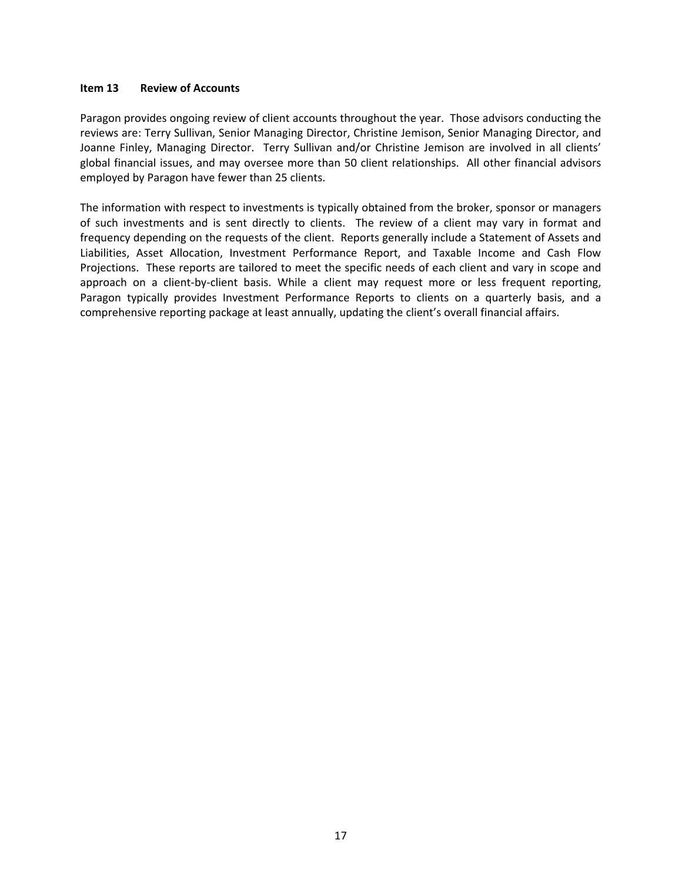#### **Item 13 Review of Accounts**

Paragon provides ongoing review of client accounts throughout the year. Those advisors conducting the reviews are: Terry Sullivan, Senior Managing Director, Christine Jemison, Senior Managing Director, and Joanne Finley, Managing Director. Terry Sullivan and/or Christine Jemison are involved in all clients' global financial issues, and may oversee more than 50 client relationships. All other financial advisors employed by Paragon have fewer than 25 clients.

The information with respect to investments is typically obtained from the broker, sponsor or managers of such investments and is sent directly to clients. The review of a client may vary in format and frequency depending on the requests of the client. Reports generally include a Statement of Assets and Liabilities, Asset Allocation, Investment Performance Report, and Taxable Income and Cash Flow Projections. These reports are tailored to meet the specific needs of each client and vary in scope and approach on a client-by-client basis. While a client may request more or less frequent reporting, Paragon typically provides Investment Performance Reports to clients on a quarterly basis, and a comprehensive reporting package at least annually, updating the client's overall financial affairs.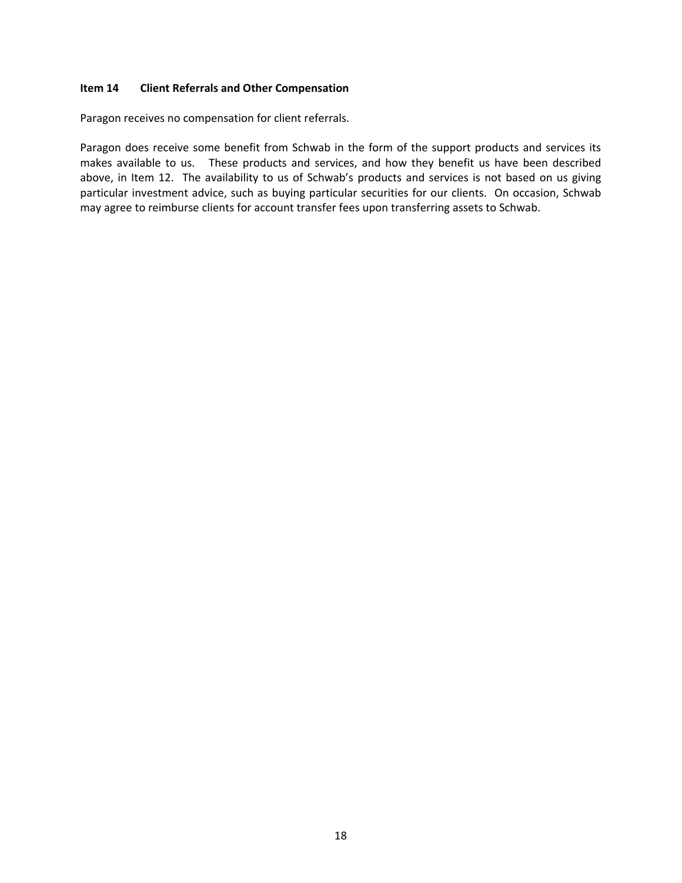#### **Item 14 Client Referrals and Other Compensation**

Paragon receives no compensation for client referrals.

Paragon does receive some benefit from Schwab in the form of the support products and services its makes available to us. These products and services, and how they benefit us have been described above, in Item 12. The availability to us of Schwab's products and services is not based on us giving particular investment advice, such as buying particular securities for our clients. On occasion, Schwab may agree to reimburse clients for account transfer fees upon transferring assets to Schwab.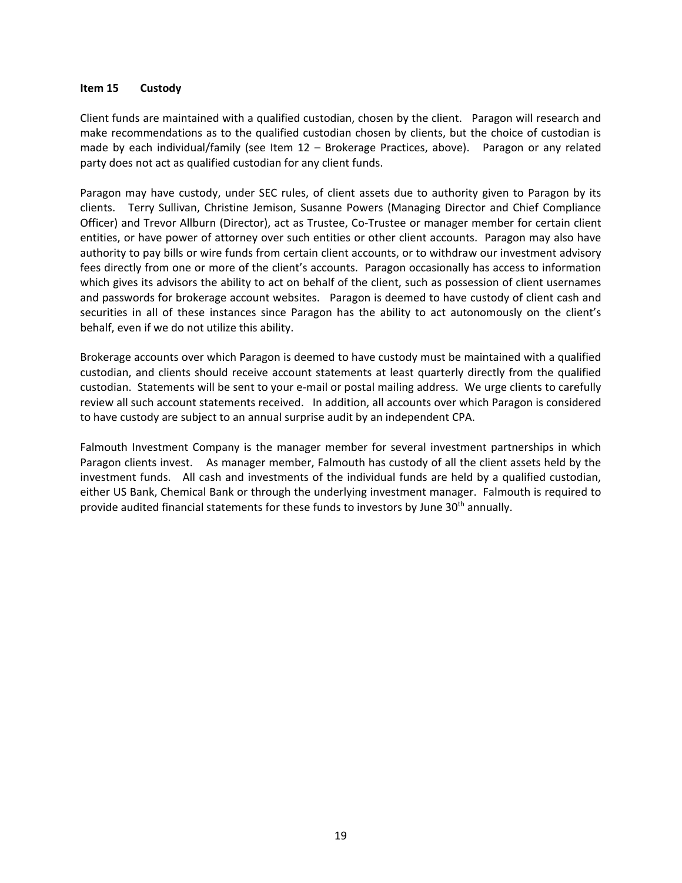#### **Item 15 Custody**

Client funds are maintained with a qualified custodian, chosen by the client. Paragon will research and make recommendations as to the qualified custodian chosen by clients, but the choice of custodian is made by each individual/family (see Item  $12$  – Brokerage Practices, above). Paragon or any related party does not act as qualified custodian for any client funds.

Paragon may have custody, under SEC rules, of client assets due to authority given to Paragon by its clients. Terry Sullivan, Christine Jemison, Susanne Powers (Managing Director and Chief Compliance Officer) and Trevor Allburn (Director), act as Trustee, Co‐Trustee or manager member for certain client entities, or have power of attorney over such entities or other client accounts. Paragon may also have authority to pay bills or wire funds from certain client accounts, or to withdraw our investment advisory fees directly from one or more of the client's accounts. Paragon occasionally has access to information which gives its advisors the ability to act on behalf of the client, such as possession of client usernames and passwords for brokerage account websites. Paragon is deemed to have custody of client cash and securities in all of these instances since Paragon has the ability to act autonomously on the client's behalf, even if we do not utilize this ability.

Brokerage accounts over which Paragon is deemed to have custody must be maintained with a qualified custodian, and clients should receive account statements at least quarterly directly from the qualified custodian. Statements will be sent to your e‐mail or postal mailing address. We urge clients to carefully review all such account statements received. In addition, all accounts over which Paragon is considered to have custody are subject to an annual surprise audit by an independent CPA.

Falmouth Investment Company is the manager member for several investment partnerships in which Paragon clients invest. As manager member, Falmouth has custody of all the client assets held by the investment funds. All cash and investments of the individual funds are held by a qualified custodian, either US Bank, Chemical Bank or through the underlying investment manager. Falmouth is required to provide audited financial statements for these funds to investors by June 30th annually.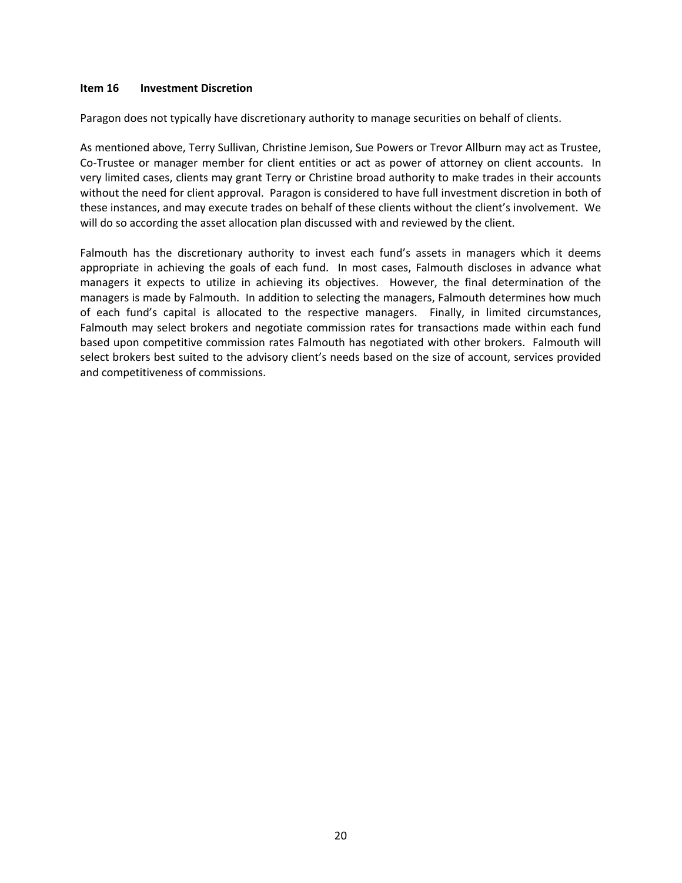#### **Item 16 Investment Discretion**

Paragon does not typically have discretionary authority to manage securities on behalf of clients.

As mentioned above, Terry Sullivan, Christine Jemison, Sue Powers or Trevor Allburn may act as Trustee, Co-Trustee or manager member for client entities or act as power of attorney on client accounts. In very limited cases, clients may grant Terry or Christine broad authority to make trades in their accounts without the need for client approval. Paragon is considered to have full investment discretion in both of these instances, and may execute trades on behalf of these clients without the client's involvement. We will do so according the asset allocation plan discussed with and reviewed by the client.

Falmouth has the discretionary authority to invest each fund's assets in managers which it deems appropriate in achieving the goals of each fund. In most cases, Falmouth discloses in advance what managers it expects to utilize in achieving its objectives. However, the final determination of the managers is made by Falmouth. In addition to selecting the managers, Falmouth determines how much of each fund's capital is allocated to the respective managers. Finally, in limited circumstances, Falmouth may select brokers and negotiate commission rates for transactions made within each fund based upon competitive commission rates Falmouth has negotiated with other brokers. Falmouth will select brokers best suited to the advisory client's needs based on the size of account, services provided and competitiveness of commissions.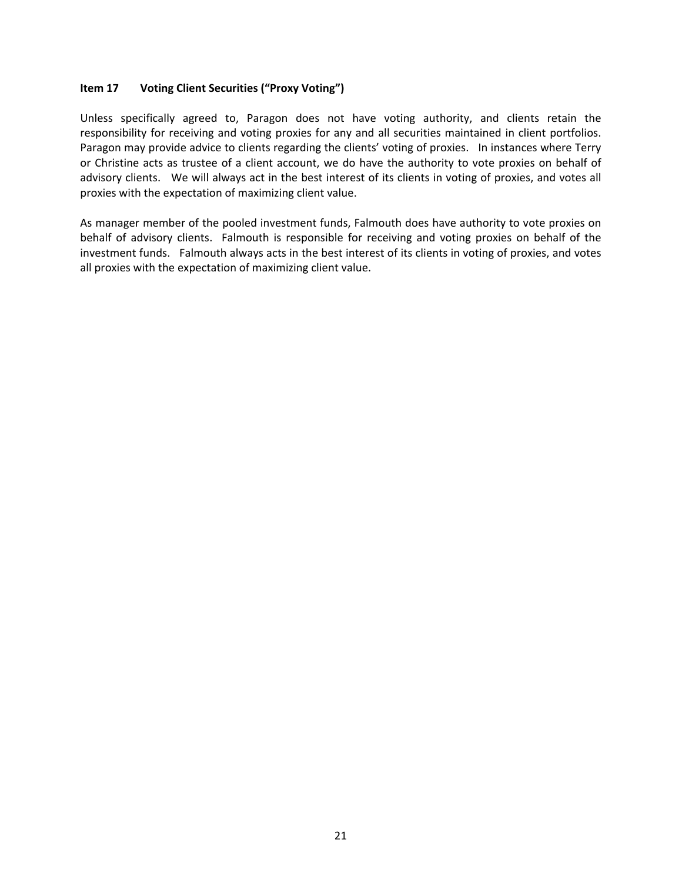## **Item 17 Voting Client Securities ("Proxy Voting")**

Unless specifically agreed to, Paragon does not have voting authority, and clients retain the responsibility for receiving and voting proxies for any and all securities maintained in client portfolios. Paragon may provide advice to clients regarding the clients' voting of proxies. In instances where Terry or Christine acts as trustee of a client account, we do have the authority to vote proxies on behalf of advisory clients. We will always act in the best interest of its clients in voting of proxies, and votes all proxies with the expectation of maximizing client value.

As manager member of the pooled investment funds, Falmouth does have authority to vote proxies on behalf of advisory clients. Falmouth is responsible for receiving and voting proxies on behalf of the investment funds. Falmouth always acts in the best interest of its clients in voting of proxies, and votes all proxies with the expectation of maximizing client value.